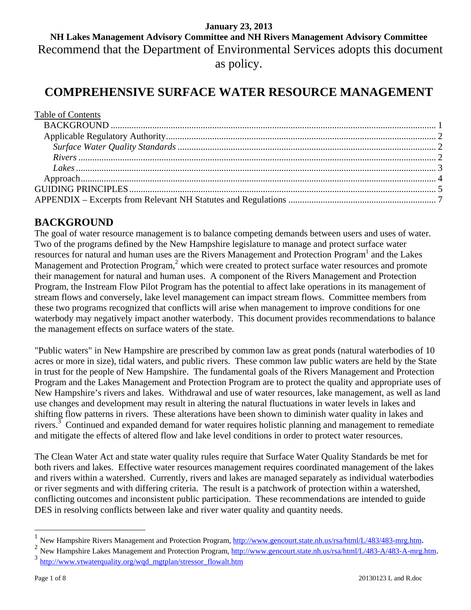## **January 23, 2013 NH Lakes Management Advisory Committee and NH Rivers Management Advisory Committee** Recommend that the Department of Environmental Services adopts this document as policy.

# **COMPREHENSIVE SURFACE WATER RESOURCE MANAGEMENT**

| Table of Contents |  |
|-------------------|--|
|                   |  |
|                   |  |
|                   |  |
|                   |  |
|                   |  |
|                   |  |
|                   |  |
|                   |  |
|                   |  |

## **BACKGROUND**

The goal of water resource management is to balance competing demands between users and uses of water. Two of the programs defined by the New Hampshire legislature to manage and protect surface water resources for natural and human uses are the Rivers Management and Protection Program<sup>1</sup> and the Lakes Management and Protection Program,<sup>2</sup> which were created to protect surface water resources and promote their management for natural and human uses. A component of the Rivers Management and Protection Program, the Instream Flow Pilot Program has the potential to affect lake operations in its management of stream flows and conversely, lake level management can impact stream flows. Committee members from these two programs recognized that conflicts will arise when management to improve conditions for one waterbody may negatively impact another waterbody. This document provides recommendations to balance the management effects on surface waters of the state.

"Public waters" in New Hampshire are prescribed by common law as great ponds (natural waterbodies of 10 acres or more in size), tidal waters, and public rivers. These common law public waters are held by the State in trust for the people of New Hampshire. The fundamental goals of the Rivers Management and Protection Program and the Lakes Management and Protection Program are to protect the quality and appropriate uses of New Hampshire's rivers and lakes. Withdrawal and use of water resources, lake management, as well as land use changes and development may result in altering the natural fluctuations in water levels in lakes and shifting flow patterns in rivers. These alterations have been shown to diminish water quality in lakes and rivers.<sup>3</sup> Continued and expanded demand for water requires holistic planning and management to remediate and mitigate the effects of altered flow and lake level conditions in order to protect water resources.

The Clean Water Act and state water quality rules require that Surface Water Quality Standards be met for both rivers and lakes. Effective water resources management requires coordinated management of the lakes and rivers within a watershed. Currently, rivers and lakes are managed separately as individual waterbodies or river segments and with differing criteria. The result is a patchwork of protection within a watershed, conflicting outcomes and inconsistent public participation. These recommendations are intended to guide DES in resolving conflicts between lake and river water quality and quantity needs.

 $\overline{a}$ 

<sup>&</sup>lt;sup>1</sup> New Hampshire Rivers Management and Protection Program,  $\frac{http://www.gencourt.state.nb.us/rsa/htm/L/483/483-mrg.htm}{2}$ .<br>
<sup>2</sup> New Hampshire Lakes Management and Protection Program,  $\frac{http://www.gencourt.state.nh.us/rsa/htm/L/483-A/483-A-mrg.htm}{http://www.vtwaterquality.org/wqd_mgtplan/stressor_flowalt.htm}$ .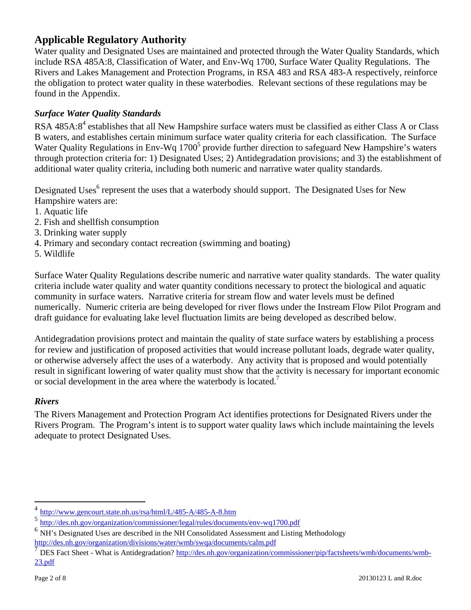## **Applicable Regulatory Authority**

Water quality and Designated Uses are maintained and protected through the Water Quality Standards, which include RSA 485A:8, Classification of Water, and Env-Wq 1700, Surface Water Quality Regulations. The Rivers and Lakes Management and Protection Programs, in RSA 483 and RSA 483-A respectively, reinforce the obligation to protect water quality in these waterbodies. Relevant sections of these regulations may be found in the Appendix.

### *Surface Water Quality Standards*

RSA 485A:8<sup>4</sup> establishes that all New Hampshire surface waters must be classified as either Class A or Class B waters, and establishes certain minimum surface water quality criteria for each classification. The Surface Water Quality Regulations in Env-Wq  $1700<sup>5</sup>$  provide further direction to safeguard New Hampshire's waters through protection criteria for: 1) Designated Uses; 2) Antidegradation provisions; and 3) the establishment of additional water quality criteria, including both numeric and narrative water quality standards.

Designated Uses<sup>6</sup> represent the uses that a waterbody should support. The Designated Uses for New Hampshire waters are:

- 1. Aquatic life
- 2. Fish and shellfish consumption
- 3. Drinking water supply
- 4. Primary and secondary contact recreation (swimming and boating)
- 5. Wildlife

Surface Water Quality Regulations describe numeric and narrative water quality standards. The water quality criteria include water quality and water quantity conditions necessary to protect the biological and aquatic community in surface waters. Narrative criteria for stream flow and water levels must be defined numerically. Numeric criteria are being developed for river flows under the Instream Flow Pilot Program and draft guidance for evaluating lake level fluctuation limits are being developed as described below.

Antidegradation provisions protect and maintain the quality of state surface waters by establishing a process for review and justification of proposed activities that would increase pollutant loads, degrade water quality, or otherwise adversely affect the uses of a waterbody. Any activity that is proposed and would potentially result in significant lowering of water quality must show that the activity is necessary for important economic or social development in the area where the waterbody is located.<sup>7</sup>

#### *Rivers*

The Rivers Management and Protection Program Act identifies protections for Designated Rivers under the Rivers Program. The Program's intent is to support water quality laws which include maintaining the levels adequate to protect Designated Uses.

 $\overline{a}$ 

 $\frac{4 \frac{\text{http://www.gencourt.state.nh.us/rsa/html/L/485-A/485-A-8.htm}}{5 \frac{\text{http://des.nh.gov/organization/commissioner/legal/rules/documents/env-wq1700.pdf}}$ <br>  $\frac{6 \frac{\text{http://des.nh.gov/organization/commissioner/legal/rules/documents/env-wq1700.pdf}}{8 \frac{\text{NH's Designated Uses are described in the NH Consolidated Assessment and Listing Methodology}}$ 

http://des.nh.gov/organization/commissioner/pip/factsheets/wmb/documents/wmb-<br>DES Fact Sheet - What is Antidegradation? http://des.nh.gov/organization/commissioner/pip/factsheets/wmb/documents/wmb-23.pdf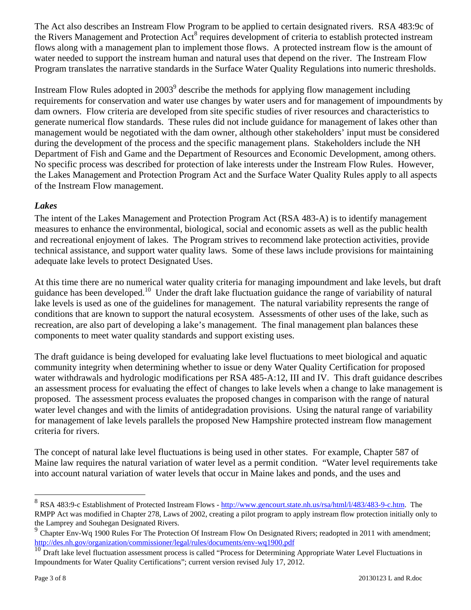The Act also describes an Instream Flow Program to be applied to certain designated rivers. RSA 483:9c of the Rivers Management and Protection Act<sup>8</sup> requires development of criteria to establish protected instream flows along with a management plan to implement those flows. A protected instream flow is the amount of water needed to support the instream human and natural uses that depend on the river. The Instream Flow Program translates the narrative standards in the Surface Water Quality Regulations into numeric thresholds.

Instream Flow Rules adopted in  $2003^9$  describe the methods for applying flow management including requirements for conservation and water use changes by water users and for management of impoundments by dam owners. Flow criteria are developed from site specific studies of river resources and characteristics to generate numerical flow standards. These rules did not include guidance for management of lakes other than management would be negotiated with the dam owner, although other stakeholders' input must be considered during the development of the process and the specific management plans. Stakeholders include the NH Department of Fish and Game and the Department of Resources and Economic Development, among others. No specific process was described for protection of lake interests under the Instream Flow Rules. However, the Lakes Management and Protection Program Act and the Surface Water Quality Rules apply to all aspects of the Instream Flow management.

## *Lakes*

The intent of the Lakes Management and Protection Program Act (RSA 483-A) is to identify management measures to enhance the environmental, biological, social and economic assets as well as the public health and recreational enjoyment of lakes. The Program strives to recommend lake protection activities, provide technical assistance, and support water quality laws. Some of these laws include provisions for maintaining adequate lake levels to protect Designated Uses.

At this time there are no numerical water quality criteria for managing impoundment and lake levels, but draft guidance has been developed.10 Under the draft lake fluctuation guidance the range of variability of natural lake levels is used as one of the guidelines for management. The natural variability represents the range of conditions that are known to support the natural ecosystem. Assessments of other uses of the lake, such as recreation, are also part of developing a lake's management. The final management plan balances these components to meet water quality standards and support existing uses.

The draft guidance is being developed for evaluating lake level fluctuations to meet biological and aquatic community integrity when determining whether to issue or deny Water Quality Certification for proposed water withdrawals and hydrologic modifications per RSA 485-A:12, III and IV. This draft guidance describes an assessment process for evaluating the effect of changes to lake levels when a change to lake management is proposed. The assessment process evaluates the proposed changes in comparison with the range of natural water level changes and with the limits of antidegradation provisions. Using the natural range of variability for management of lake levels parallels the proposed New Hampshire protected instream flow management criteria for rivers.

The concept of natural lake level fluctuations is being used in other states. For example, Chapter 587 of Maine law requires the natural variation of water level as a permit condition. "Water level requirements take into account natural variation of water levels that occur in Maine lakes and ponds, and the uses and

 $\overline{a}$ 

RSA 483:9-c Establishment of Protected Instream Flows - http://www.gencourt.state.nh.us/rsa/html/l/483/483-9-c.htm. The RMPP Act was modified in Chapter 278, Laws of 2002, creating a pilot program to apply instream flow protection initially only to the Lamprey and Souhegan Designated Rivers.

Chapter Env-Wq 1900 Rules For The Protection Of Instream Flow On Designated Rivers; readopted in 2011 with amendment;

http://des.nh.gov/organization/commissioner/legal/rules/documents/env-wq1900.pdf<br><sup>10</sup> Draft lake level fluctuation assessment process is called "Process for Determining Appropriate Water Level Fluctuations in Impoundments for Water Quality Certifications"; current version revised July 17, 2012.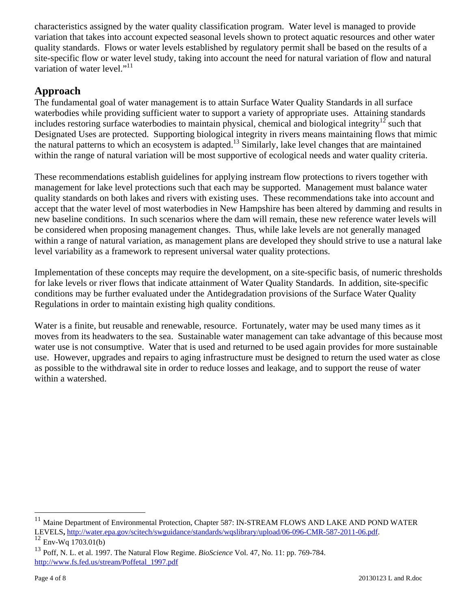characteristics assigned by the water quality classification program. Water level is managed to provide variation that takes into account expected seasonal levels shown to protect aquatic resources and other water quality standards. Flows or water levels established by regulatory permit shall be based on the results of a site-specific flow or water level study, taking into account the need for natural variation of flow and natural variation of water level."<sup>11</sup>

## **Approach**

The fundamental goal of water management is to attain Surface Water Quality Standards in all surface waterbodies while providing sufficient water to support a variety of appropriate uses. Attaining standards includes restoring surface waterbodies to maintain physical, chemical and biological integrity<sup>12</sup> such that Designated Uses are protected. Supporting biological integrity in rivers means maintaining flows that mimic the natural patterns to which an ecosystem is adapted.<sup>13</sup> Similarly, lake level changes that are maintained within the range of natural variation will be most supportive of ecological needs and water quality criteria.

These recommendations establish guidelines for applying instream flow protections to rivers together with management for lake level protections such that each may be supported. Management must balance water quality standards on both lakes and rivers with existing uses. These recommendations take into account and accept that the water level of most waterbodies in New Hampshire has been altered by damming and results in new baseline conditions. In such scenarios where the dam will remain, these new reference water levels will be considered when proposing management changes. Thus, while lake levels are not generally managed within a range of natural variation, as management plans are developed they should strive to use a natural lake level variability as a framework to represent universal water quality protections.

Implementation of these concepts may require the development, on a site-specific basis, of numeric thresholds for lake levels or river flows that indicate attainment of Water Quality Standards. In addition, site-specific conditions may be further evaluated under the Antidegradation provisions of the Surface Water Quality Regulations in order to maintain existing high quality conditions.

Water is a finite, but reusable and renewable, resource. Fortunately, water may be used many times as it moves from its headwaters to the sea. Sustainable water management can take advantage of this because most water use is not consumptive. Water that is used and returned to be used again provides for more sustainable use. However, upgrades and repairs to aging infrastructure must be designed to return the used water as close as possible to the withdrawal site in order to reduce losses and leakage, and to support the reuse of water within a watershed.

<u>.</u>

Maine Department of Environmental Protection, Chapter 587: IN-STREAM FLOWS AND LAKE AND POND WATER LEVELS, http://water.epa.gov/scitech/swguidance/standards/wqslibrary/upload/06-096-CMR-587-2011-06.pdf.<br><sup>12</sup> Env-Wq 1703.01(b)

<sup>13</sup> Poff, N. L. et al. 1997. The Natural Flow Regime. *BioScience* Vol. 47, No. 11: pp. 769-784. http://www.fs.fed.us/stream/Poffetal\_1997.pdf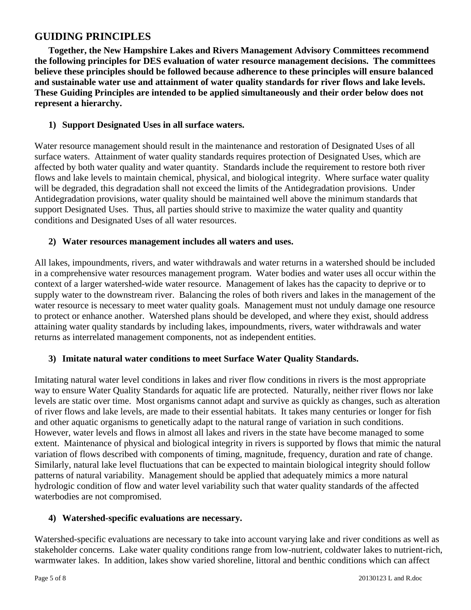## **GUIDING PRINCIPLES**

**Together, the New Hampshire Lakes and Rivers Management Advisory Committees recommend the following principles for DES evaluation of water resource management decisions. The committees believe these principles should be followed because adherence to these principles will ensure balanced and sustainable water use and attainment of water quality standards for river flows and lake levels. These Guiding Principles are intended to be applied simultaneously and their order below does not represent a hierarchy.** 

### **1) Support Designated Uses in all surface waters.**

Water resource management should result in the maintenance and restoration of Designated Uses of all surface waters. Attainment of water quality standards requires protection of Designated Uses, which are affected by both water quality and water quantity. Standards include the requirement to restore both river flows and lake levels to maintain chemical, physical, and biological integrity. Where surface water quality will be degraded, this degradation shall not exceed the limits of the Antidegradation provisions. Under Antidegradation provisions, water quality should be maintained well above the minimum standards that support Designated Uses. Thus, all parties should strive to maximize the water quality and quantity conditions and Designated Uses of all water resources.

#### **2) Water resources management includes all waters and uses.**

All lakes, impoundments, rivers, and water withdrawals and water returns in a watershed should be included in a comprehensive water resources management program. Water bodies and water uses all occur within the context of a larger watershed-wide water resource. Management of lakes has the capacity to deprive or to supply water to the downstream river. Balancing the roles of both rivers and lakes in the management of the water resource is necessary to meet water quality goals. Management must not unduly damage one resource to protect or enhance another. Watershed plans should be developed, and where they exist, should address attaining water quality standards by including lakes, impoundments, rivers, water withdrawals and water returns as interrelated management components, not as independent entities.

## **3) Imitate natural water conditions to meet Surface Water Quality Standards.**

Imitating natural water level conditions in lakes and river flow conditions in rivers is the most appropriate way to ensure Water Quality Standards for aquatic life are protected. Naturally, neither river flows nor lake levels are static over time. Most organisms cannot adapt and survive as quickly as changes, such as alteration of river flows and lake levels, are made to their essential habitats. It takes many centuries or longer for fish and other aquatic organisms to genetically adapt to the natural range of variation in such conditions. However, water levels and flows in almost all lakes and rivers in the state have become managed to some extent. Maintenance of physical and biological integrity in rivers is supported by flows that mimic the natural variation of flows described with components of timing, magnitude, frequency, duration and rate of change. Similarly, natural lake level fluctuations that can be expected to maintain biological integrity should follow patterns of natural variability. Management should be applied that adequately mimics a more natural hydrologic condition of flow and water level variability such that water quality standards of the affected waterbodies are not compromised.

#### **4) Watershed-specific evaluations are necessary.**

Watershed-specific evaluations are necessary to take into account varying lake and river conditions as well as stakeholder concerns. Lake water quality conditions range from low-nutrient, coldwater lakes to nutrient-rich, warmwater lakes. In addition, lakes show varied shoreline, littoral and benthic conditions which can affect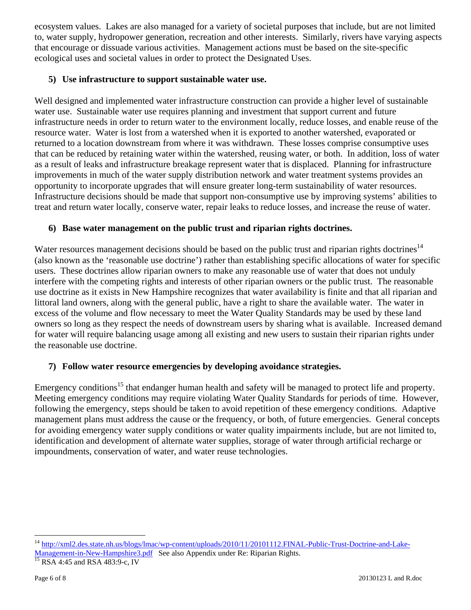ecosystem values. Lakes are also managed for a variety of societal purposes that include, but are not limited to, water supply, hydropower generation, recreation and other interests. Similarly, rivers have varying aspects that encourage or dissuade various activities. Management actions must be based on the site-specific ecological uses and societal values in order to protect the Designated Uses.

### **5) Use infrastructure to support sustainable water use.**

Well designed and implemented water infrastructure construction can provide a higher level of sustainable water use. Sustainable water use requires planning and investment that support current and future infrastructure needs in order to return water to the environment locally, reduce losses, and enable reuse of the resource water. Water is lost from a watershed when it is exported to another watershed, evaporated or returned to a location downstream from where it was withdrawn. These losses comprise consumptive uses that can be reduced by retaining water within the watershed, reusing water, or both. In addition, loss of water as a result of leaks and infrastructure breakage represent water that is displaced. Planning for infrastructure improvements in much of the water supply distribution network and water treatment systems provides an opportunity to incorporate upgrades that will ensure greater long-term sustainability of water resources. Infrastructure decisions should be made that support non-consumptive use by improving systems' abilities to treat and return water locally, conserve water, repair leaks to reduce losses, and increase the reuse of water.

#### **6) Base water management on the public trust and riparian rights doctrines.**

Water resources management decisions should be based on the public trust and riparian rights doctrines<sup>14</sup> (also known as the 'reasonable use doctrine') rather than establishing specific allocations of water for specific users. These doctrines allow riparian owners to make any reasonable use of water that does not unduly interfere with the competing rights and interests of other riparian owners or the public trust. The reasonable use doctrine as it exists in New Hampshire recognizes that water availability is finite and that all riparian and littoral land owners, along with the general public, have a right to share the available water. The water in excess of the volume and flow necessary to meet the Water Quality Standards may be used by these land owners so long as they respect the needs of downstream users by sharing what is available. Increased demand for water will require balancing usage among all existing and new users to sustain their riparian rights under the reasonable use doctrine.

## **7) Follow water resource emergencies by developing avoidance strategies.**

Emergency conditions<sup>15</sup> that endanger human health and safety will be managed to protect life and property. Meeting emergency conditions may require violating Water Quality Standards for periods of time. However, following the emergency, steps should be taken to avoid repetition of these emergency conditions. Adaptive management plans must address the cause or the frequency, or both, of future emergencies. General concepts for avoiding emergency water supply conditions or water quality impairments include, but are not limited to, identification and development of alternate water supplies, storage of water through artificial recharge or impoundments, conservation of water, and water reuse technologies.

1

<sup>14</sup> http://xml2.des.state.nh.us/blogs/lmac/wp-content/uploads/2010/11/20101112.FINAL-Public-Trust-Doctrine-and-Lake-Management-in-New-Hampshire3.pdf See also Appendix under Re: Riparian Rights.<br><sup>15</sup> RSA 4:45 and RSA 483:9-c, IV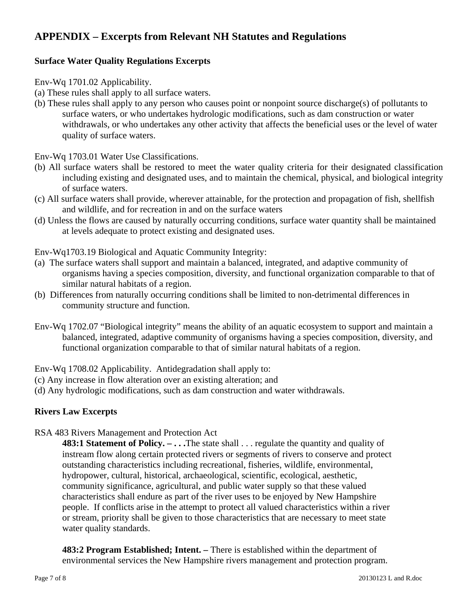## **APPENDIX – Excerpts from Relevant NH Statutes and Regulations**

## **Surface Water Quality Regulations Excerpts**

Env-Wq 1701.02 Applicability.

- (a) These rules shall apply to all surface waters.
- (b) These rules shall apply to any person who causes point or nonpoint source discharge(s) of pollutants to surface waters, or who undertakes hydrologic modifications, such as dam construction or water withdrawals, or who undertakes any other activity that affects the beneficial uses or the level of water quality of surface waters.

Env-Wq 1703.01 Water Use Classifications.

- (b) All surface waters shall be restored to meet the water quality criteria for their designated classification including existing and designated uses, and to maintain the chemical, physical, and biological integrity of surface waters.
- (c) All surface waters shall provide, wherever attainable, for the protection and propagation of fish, shellfish and wildlife, and for recreation in and on the surface waters
- (d) Unless the flows are caused by naturally occurring conditions, surface water quantity shall be maintained at levels adequate to protect existing and designated uses.

Env-Wq1703.19 Biological and Aquatic Community Integrity:

- (a) The surface waters shall support and maintain a balanced, integrated, and adaptive community of organisms having a species composition, diversity, and functional organization comparable to that of similar natural habitats of a region.
- (b) Differences from naturally occurring conditions shall be limited to non-detrimental differences in community structure and function.
- Env-Wq 1702.07 "Biological integrity" means the ability of an aquatic ecosystem to support and maintain a balanced, integrated, adaptive community of organisms having a species composition, diversity, and functional organization comparable to that of similar natural habitats of a region.

Env-Wq 1708.02 Applicability. Antidegradation shall apply to:

- (c) Any increase in flow alteration over an existing alteration; and
- (d) Any hydrologic modifications, such as dam construction and water withdrawals.

## **Rivers Law Excerpts**

RSA 483 Rivers Management and Protection Act

**483:1 Statement of Policy. – ...** The state shall ... regulate the quantity and quality of instream flow along certain protected rivers or segments of rivers to conserve and protect outstanding characteristics including recreational, fisheries, wildlife, environmental, hydropower, cultural, historical, archaeological, scientific, ecological, aesthetic, community significance, agricultural, and public water supply so that these valued characteristics shall endure as part of the river uses to be enjoyed by New Hampshire people. If conflicts arise in the attempt to protect all valued characteristics within a river or stream, priority shall be given to those characteristics that are necessary to meet state water quality standards.

**483:2 Program Established; Intent. –** There is established within the department of environmental services the New Hampshire rivers management and protection program.